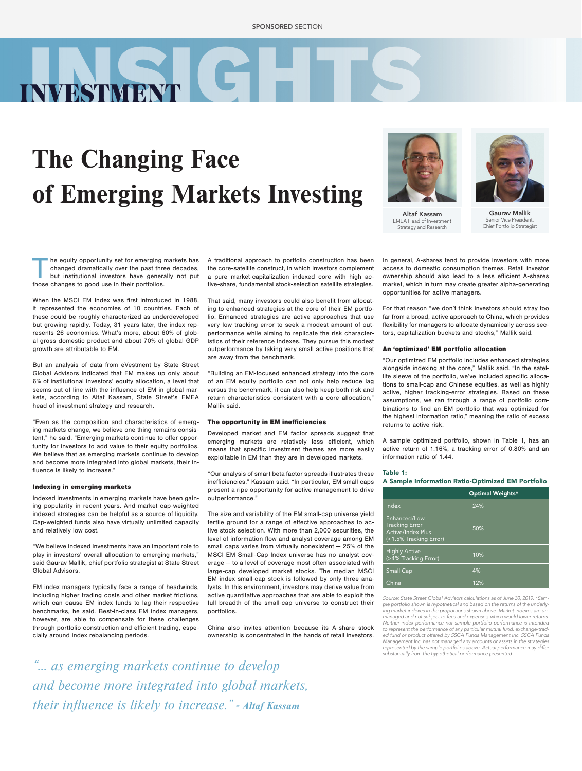# The Changing Face of Emerging Markets Investing



Altaf Kassam EMEA Head of Investment Strategy and Research

Gaurav Mallik Senior Vice President, Chief Portfolio Strategist

The equity opportunity set for emerging markets has<br>
changed dramatically over the past three decades,<br>
but institutional investors have generally not put<br>
those changes to good use in their portfolios changed dramatically over the past three decades, those changes to good use in their portfolios.

**NVESTMENT** 

When the MSCI EM Index was first introduced in 1988, it represented the economies of 10 countries. Each of these could be roughly characterized as underdeveloped but growing rapidly. Today, 31 years later, the index represents 26 economies. What's more, about 60% of global gross domestic product and about 70% of global GDP growth are attributable to EM.

But an analysis of data from eVestment by State Street Global Advisors indicated that EM makes up only about 6% of institutional investors' equity allocation, a level that seems out of line with the influence of EM in global markets, according to Altaf Kassam, State Street's EMEA head of investment strategy and research.

"Even as the composition and characteristics of emerging markets change, we believe one thing remains consistent," he said. "Emerging markets continue to offer opportunity for investors to add value to their equity portfolios. We believe that as emerging markets continue to develop and become more integrated into global markets, their influence is likely to increase."

### Indexing in emerging markets

Indexed investments in emerging markets have been gaining popularity in recent years. And market cap-weighted indexed strategies can be helpful as a source of liquidity. Cap-weighted funds also have virtually unlimited capacity and relatively low cost.

"We believe indexed investments have an important role to play in investors' overall allocation to emerging markets," said Gaurav Mallik, chief portfolio strategist at State Street Global Advisors.

EM index managers typically face a range of headwinds, including higher trading costs and other market frictions, which can cause EM index funds to lag their respective benchmarks, he said. Best-in-class EM index managers, however, are able to compensate for these challenges through portfolio construction and efficient trading, especially around index rebalancing periods.

A traditional approach to portfolio construction has been the core-satellite construct, in which investors complement a pure market-capitalization indexed core with high active-share, fundamental stock-selection satellite strategies.

That said, many investors could also benefit from allocating to enhanced strategies at the core of their EM portfolio. Enhanced strategies are active approaches that use very low tracking error to seek a modest amount of outperformance while aiming to replicate the risk characteristics of their reference indexes. They pursue this modest outperformance by taking very small active positions that are away from the benchmark.

"Building an EM-focused enhanced strategy into the core of an EM equity portfolio can not only help reduce lag versus the benchmark, it can also help keep both risk and return characteristics consistent with a core allocation," Mallik said.

#### The opportunity in EM inefficiencies

Developed market and EM factor spreads suggest that emerging markets are relatively less efficient, which means that specific investment themes are more easily exploitable in EM than they are in developed markets.

"Our analysis of smart beta factor spreads illustrates these inefficiencies," Kassam said. "In particular, EM small caps present a ripe opportunity for active management to drive outperformance."

The size and variability of the EM small-cap universe yield fertile ground for a range of effective approaches to active stock selection. With more than 2,000 securities, the level of information flow and analyst coverage among EM small caps varies from virtually nonexistent — 25% of the MSCI EM Small-Cap Index universe has no analyst coverage ― to a level of coverage most often associated with large-cap developed market stocks. The median MSCI EM index small-cap stock is followed by only three analysts. In this environment, investors may derive value from active quantitative approaches that are able to exploit the full breadth of the small-cap universe to construct their portfolios.

China also invites attention because its A-share stock ownership is concentrated in the hands of retail investors. market, which in turn may create greater alpha-generating opportunities for active managers. For that reason "we don't think investors should stray too far from a broad, active approach to China, which provides

flexibility for managers to allocate dynamically across sectors, capitalization buckets and stocks," Mallik said.

In general, A-shares tend to provide investors with more access to domestic consumption themes. Retail investor ownership should also lead to a less efficient A-shares

An 'optimized' EM portfolio allocation

"Our optimized EM portfolio includes enhanced strategies alongside indexing at the core," Mallik said. "In the satellite sleeve of the portfolio, we've included specific allocations to small-cap and Chinese equities, as well as highly active, higher tracking-error strategies. Based on these assumptions, we ran through a range of portfolio combinations to find an EM portfolio that was optimized for the highest information ratio," meaning the ratio of excess returns to active risk.

A sample optimized portfolio, shown in Table 1, has an active return of 1.16%, a tracking error of 0.80% and an information ratio of 1.44.

# Table 1: A Sample Information Ratio-Optimized EM Portfolio

|                                                                                      | <b>Optimal Weights*</b> |
|--------------------------------------------------------------------------------------|-------------------------|
| Index                                                                                | 24%                     |
| Enhanced/Low<br><b>Tracking Error</b><br>Active/Index Plus<br>(<1.5% Tracking Error) | 50%                     |
| <b>Highly Active</b><br>(>4% Tracking Error)                                         | 10%                     |
| <b>Small Cap</b>                                                                     | 4%                      |
| China                                                                                | 12%                     |

*Source: State Street Global Advisors calculations as of June 30, 2019. \*Sample portfolio shown is hypothetical and based on the returns of the underlying market indexes in the proportions shown above. Market indexes are unmanaged and not subject to fees and expenses, which would lower returns. Neither index performance nor sample portfolio performance is intended to represent the performance of any particular mutual fund, exchange-traded fund or product offered by SSGA Funds Management Inc. SSGA Funds Management Inc. has not managed any accounts or assets in the strategies represented by the sample portfolios above. Actual performance may differ substantially from the hypothetical performance presented.*

*"… as emerging markets continue to develop and become more integrated into global markets, their influence is likely to increase." - Altaf Kassam*